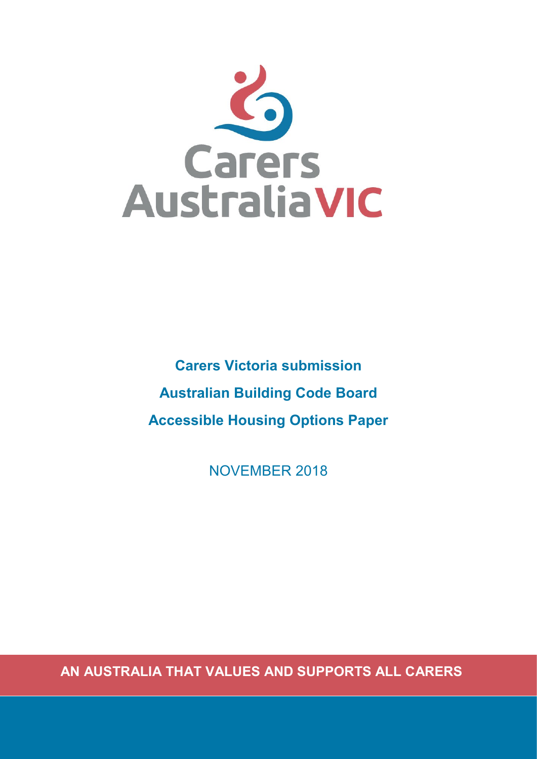

**Carers Victoria submission Australian Building Code Board Accessible Housing Options Paper**

NOVEMBER 2018

**AN AUSTRALIA THAT VALUES AND SUPPORTS ALL CARERS**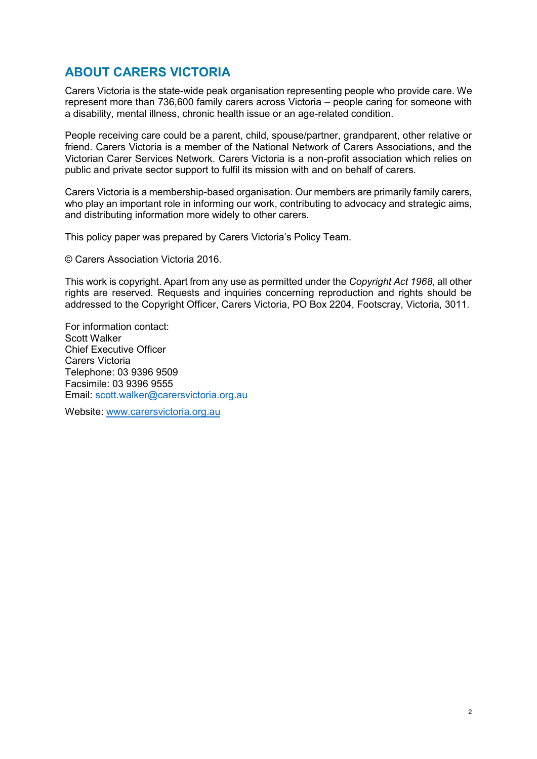# <span id="page-1-0"></span>**ABOUT CARERS VICTORIA**

Carers Victoria is the state-wide peak organisation representing people who provide care. We represent more than 736,600 family carers across Victoria – people caring for someone with a disability, mental illness, chronic health issue or an age-related condition.

People receiving care could be a parent, child, spouse/partner, grandparent, other relative or friend. Carers Victoria is a member of the National Network of Carers Associations, and the Victorian Carer Services Network. Carers Victoria is a non-profit association which relies on public and private sector support to fulfil its mission with and on behalf of carers.

Carers Victoria is a membership-based organisation. Our members are primarily family carers, who play an important role in informing our work, contributing to advocacy and strategic aims, and distributing information more widely to other carers.

This policy paper was prepared by Carers Victoria's Policy Team.

© Carers Association Victoria 2016.

This work is copyright. Apart from any use as permitted under the *Copyright Act 1968*, all other rights are reserved. Requests and inquiries concerning reproduction and rights should be addressed to the Copyright Officer, Carers Victoria, PO Box 2204, Footscray, Victoria, 3011.

For information contact: Scott Walker Chief Executive Officer Carers Victoria Telephone: 03 9396 9509 Facsimile: 03 9396 9555 Email: [scott.walker@carersvictoria.org.au](mailto:scott.walker@carersvictoria.org.au)

Website: [www.carersvictoria.org.au](http://www.carersvictoria.org.au/)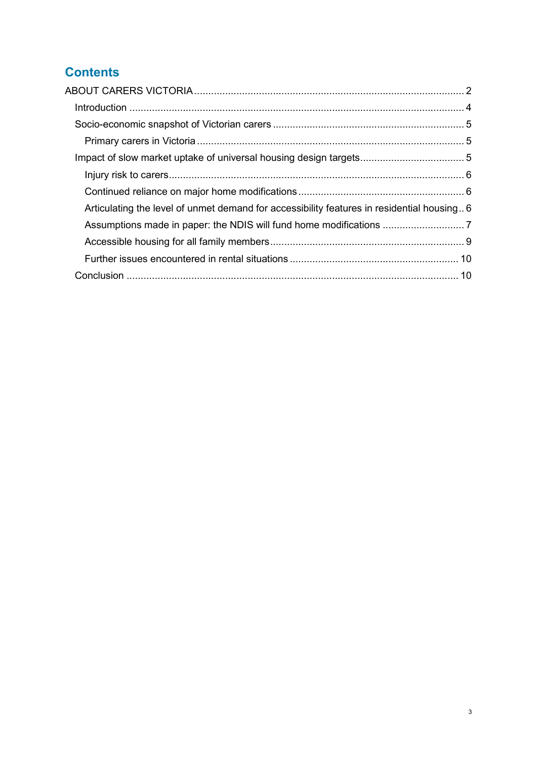# **Contents**

| Articulating the level of unmet demand for accessibility features in residential housing 6 |  |
|--------------------------------------------------------------------------------------------|--|
|                                                                                            |  |
|                                                                                            |  |
|                                                                                            |  |
|                                                                                            |  |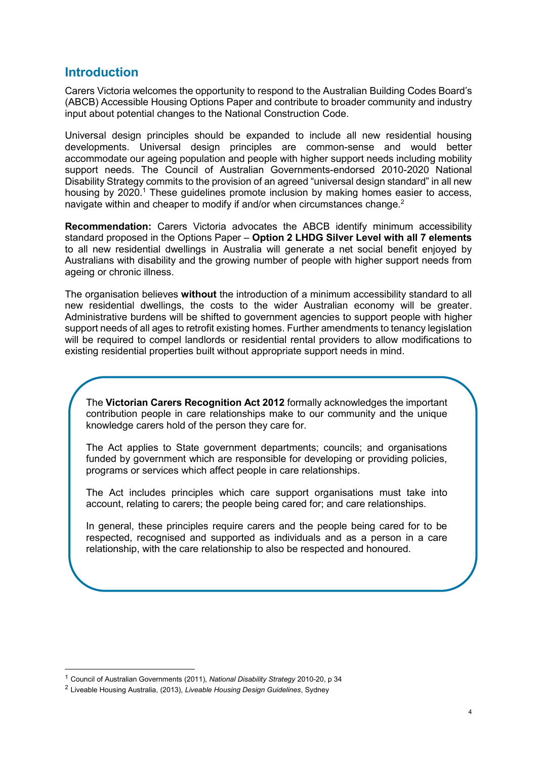## <span id="page-3-0"></span>**Introduction**

Carers Victoria welcomes the opportunity to respond to the Australian Building Codes Board's (ABCB) Accessible Housing Options Paper and contribute to broader community and industry input about potential changes to the National Construction Code.

Universal design principles should be expanded to include all new residential housing developments. Universal design principles are common-sense and would better accommodate our ageing population and people with higher support needs including mobility support needs. The Council of Australian Governments-endorsed 2010-2020 National Disability Strategy commits to the provision of an agreed "universal design standard" in all new housing by 2020.<sup>1</sup> These guidelines promote inclusion by making homes easier to access, navigate within and cheaper to modify if and/or when circumstances change.<sup>2</sup>

**Recommendation:** Carers Victoria advocates the ABCB identify minimum accessibility standard proposed in the Options Paper – **Option 2 LHDG Silver Level with all 7 elements** to all new residential dwellings in Australia will generate a net social benefit enjoyed by Australians with disability and the growing number of people with higher support needs from ageing or chronic illness.

The organisation believes **without** the introduction of a minimum accessibility standard to all new residential dwellings, the costs to the wider Australian economy will be greater. Administrative burdens will be shifted to government agencies to support people with higher support needs of all ages to retrofit existing homes. Further amendments to tenancy legislation will be required to compel landlords or residential rental providers to allow modifications to existing residential properties built without appropriate support needs in mind.

The **Victorian Carers Recognition Act 2012** formally acknowledges the important contribution people in care relationships make to our community and the unique knowledge carers hold of the person they care for.

The Act applies to State government departments; councils; and organisations funded by government which are responsible for developing or providing policies, programs or services which affect people in care relationships.

The Act includes principles which care support organisations must take into account, relating to carers; the people being cared for; and care relationships.

<span id="page-3-1"></span>In general, these principles require carers and the people being cared for to be respected, recognised and supported as individuals and as a person in a care relationship, with the care relationship to also be respected and honoured.

<sup>1</sup> Council of Australian Governments (2011), *National Disability Strategy* 2010-20, p 34

<sup>2</sup> Liveable Housing Australia, (2013), *Liveable Housing Design Guidelines*, Sydney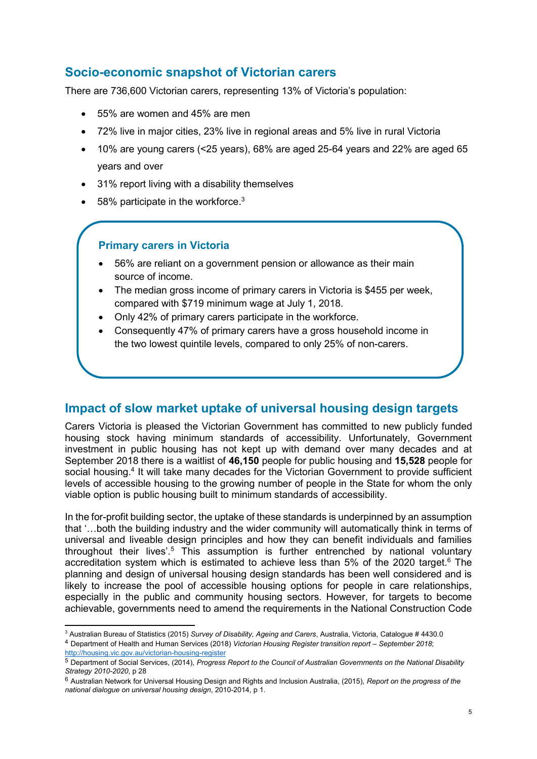# **Socio-economic snapshot of Victorian carers**

There are 736,600 Victorian carers, representing 13% of Victoria's population:

- 55% are women and 45% are men
- 72% live in major cities, 23% live in regional areas and 5% live in rural Victoria
- 10% are young carers (<25 years), 68% are aged 25-64 years and 22% are aged 65 years and over
- 31% report living with a disability themselves
- $\bullet$  58% participate in the workforce.<sup>3</sup>

## **Primary carers in Victoria**

-

- 56% are reliant on a government pension or allowance as their main source of income.
- The median gross income of primary carers in Victoria is \$455 per week, compared with \$719 minimum wage at July 1, 2018.
- Only 42% of primary carers participate in the workforce.
- Consequently 47% of primary carers have a gross household income in the two lowest quintile levels, compared to only 25% of non-carers.

## <span id="page-4-0"></span>**Impact of slow market uptake of universal housing design targets**

Carers Victoria is pleased the Victorian Government has committed to new publicly funded housing stock having minimum standards of accessibility. Unfortunately, Government investment in public housing has not kept up with demand over many decades and at September 2018 there is a waitlist of **46,150** people for public housing and **15,528** people for social housing.<sup>4</sup> It will take many decades for the Victorian Government to provide sufficient levels of accessible housing to the growing number of people in the State for whom the only viable option is public housing built to minimum standards of accessibility.

In the for-profit building sector, the uptake of these standards is underpinned by an assumption that '…both the building industry and the wider community will automatically think in terms of universal and liveable design principles and how they can benefit individuals and families throughout their lives'.<sup>5</sup> This assumption is further entrenched by national voluntary accreditation system which is estimated to achieve less than  $5\%$  of the 2020 target.<sup>6</sup> The planning and design of universal housing design standards has been well considered and is likely to increase the pool of accessible housing options for people in care relationships, especially in the public and community housing sectors. However, for targets to become achievable, governments need to amend the requirements in the National Construction Code

<sup>3</sup> Australian Bureau of Statistics (2015) *Survey of Disability, Ageing and Carers*, Australia, Victoria, Catalogue # 4430.0 <sup>4</sup> Department of Health and Human Services (2018) *Victorian Housing Register transition report – September 2018*; <http://housing.vic.gov.au/victorian-housing-register>

<sup>5</sup> Department of Social Services, (2014), *Progress Report to the Council of Australian Governments on the National Disability Strategy 2010-2020*, p 28

<sup>6</sup> Australian Network for Universal Housing Design and Rights and Inclusion Australia, (2015), *Report on the progress of the national dialogue on universal housing design*, 2010-2014, p 1.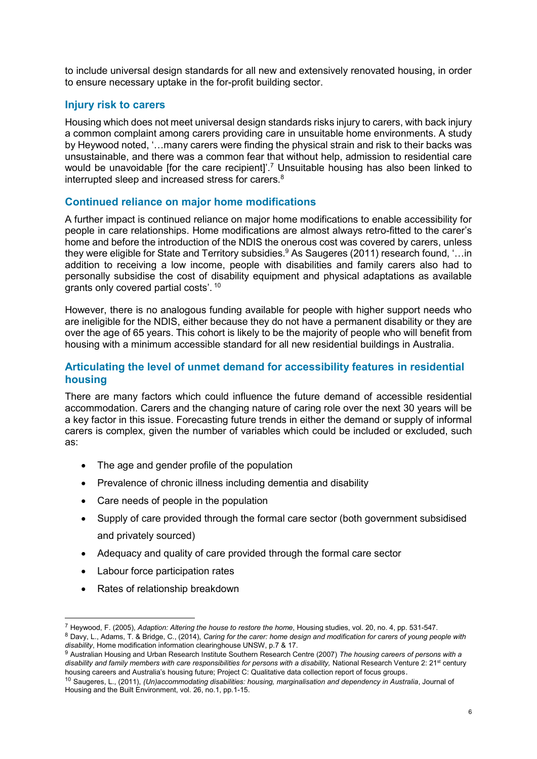to include universal design standards for all new and extensively renovated housing, in order to ensure necessary uptake in the for-profit building sector.

#### <span id="page-5-0"></span>**Injury risk to carers**

Housing which does not meet universal design standards risks injury to carers, with back injury a common complaint among carers providing care in unsuitable home environments. A study by Heywood noted, '…many carers were finding the physical strain and risk to their backs was unsustainable, and there was a common fear that without help, admission to residential care would be unavoidable [for the care recipient]<sup>'.7</sup> Unsuitable housing has also been linked to interrupted sleep and increased stress for carers.<sup>8</sup>

## <span id="page-5-1"></span>**Continued reliance on major home modifications**

A further impact is continued reliance on major home modifications to enable accessibility for people in care relationships. Home modifications are almost always retro-fitted to the carer's home and before the introduction of the NDIS the onerous cost was covered by carers, unless they were eligible for State and Territory subsidies.<sup>9</sup> As Saugeres (2011) research found, '... in addition to receiving a low income, people with disabilities and family carers also had to personally subsidise the cost of disability equipment and physical adaptations as available grants only covered partial costs'. <sup>10</sup>

However, there is no analogous funding available for people with higher support needs who are ineligible for the NDIS, either because they do not have a permanent disability or they are over the age of 65 years. This cohort is likely to be the majority of people who will benefit from housing with a minimum accessible standard for all new residential buildings in Australia.

#### <span id="page-5-2"></span>**Articulating the level of unmet demand for accessibility features in residential housing**

There are many factors which could influence the future demand of accessible residential accommodation. Carers and the changing nature of caring role over the next 30 years will be a key factor in this issue. Forecasting future trends in either the demand or supply of informal carers is complex, given the number of variables which could be included or excluded, such as:

- The age and gender profile of the population
- Prevalence of chronic illness including dementia and disability
- Care needs of people in the population
- Supply of care provided through the formal care sector (both government subsidised and privately sourced)
- Adequacy and quality of care provided through the formal care sector
- Labour force participation rates
- Rates of relationship breakdown

<sup>7</sup> Heywood, F. (2005), *Adaption: Altering the house to restore the home*, Housing studies, vol. 20, no. 4, pp. 531-547.

<sup>8</sup> Davy, L., Adams, T. & Bridge, C., (2014), *Caring for the carer: home design and modification for carers of young people with disability*, Home modification information clearinghouse UNSW, p.7 & 17.

<sup>9</sup> Australian Housing and Urban Research Institute Southern Research Centre (2007) *The housing careers of persons with a*  disability and family members with care responsibilities for persons with a disability. National Research Venture 2: 21<sup>st</sup> century housing careers and Australia's housing future; Project C: Qualitative data collection report of focus groups.

<sup>10</sup> Saugeres, L., (2011), *(Un)accommodating disabilities: housing, marginalisation and dependency in Australia*, Journal of Housing and the Built Environment, vol. 26, no.1, pp.1-15.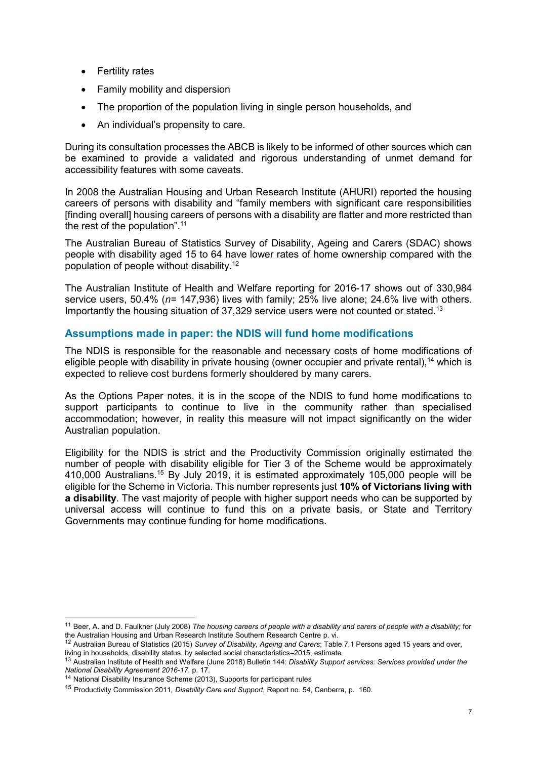- Fertility rates
- Family mobility and dispersion
- The proportion of the population living in single person households, and
- An individual's propensity to care.

During its consultation processes the ABCB is likely to be informed of other sources which can be examined to provide a validated and rigorous understanding of unmet demand for accessibility features with some caveats.

In 2008 the Australian Housing and Urban Research Institute (AHURI) reported the housing careers of persons with disability and "family members with significant care responsibilities [finding overall] housing careers of persons with a disability are flatter and more restricted than the rest of the population".<sup>11</sup>

The Australian Bureau of Statistics Survey of Disability, Ageing and Carers (SDAC) shows people with disability aged 15 to 64 have lower rates of home ownership compared with the population of people without disability.<sup>12</sup>

The Australian Institute of Health and Welfare reporting for 2016-17 shows out of 330,984 service users, 50.4% (*n=* 147,936) lives with family; 25% live alone; 24.6% live with others. Importantly the housing situation of 37,329 service users were not counted or stated.<sup>13</sup>

#### <span id="page-6-0"></span>**Assumptions made in paper: the NDIS will fund home modifications**

The NDIS is responsible for the reasonable and necessary costs of home modifications of eligible people with disability in private housing (owner occupier and private rental),  $^{14}$  which is expected to relieve cost burdens formerly shouldered by many carers.

As the Options Paper notes, it is in the scope of the NDIS to fund home modifications to support participants to continue to live in the community rather than specialised accommodation; however, in reality this measure will not impact significantly on the wider Australian population.

Eligibility for the NDIS is strict and the Productivity Commission originally estimated the number of people with disability eligible for Tier 3 of the Scheme would be approximately 410,000 Australians.<sup>15</sup> By July 2019, it is estimated approximately 105,000 people will be eligible for the Scheme in Victoria. This number represents just **10% of Victorians living with a disability**. The vast majority of people with higher support needs who can be supported by universal access will continue to fund this on a private basis, or State and Territory Governments may continue funding for home modifications.

<sup>11</sup> Beer, A. and D. Faulkner (July 2008) *The housing careers of people with a disability and carers of people with a disability;* for the Australian Housing and Urban Research Institute Southern Research Centre p. vi.

<sup>12</sup> Australian Bureau of Statistics (2015) *Survey of Disability, Ageing and Carers*; Table 7.1 Persons aged 15 years and over, living in households, disability status, by selected social characteristics–2015, estimate

<sup>13</sup> Australian Institute of Health and Welfare (June 2018) Bulletin 144: *Disability Support services: Services provided under the National Disability Agreement 2016-17*, p. 17.

<sup>14</sup> National Disability Insurance Scheme (2013), Supports for participant rules

<sup>15</sup> Productivity Commission 2011, *Disability Care and Support*, Report no. 54, Canberra, p. 160.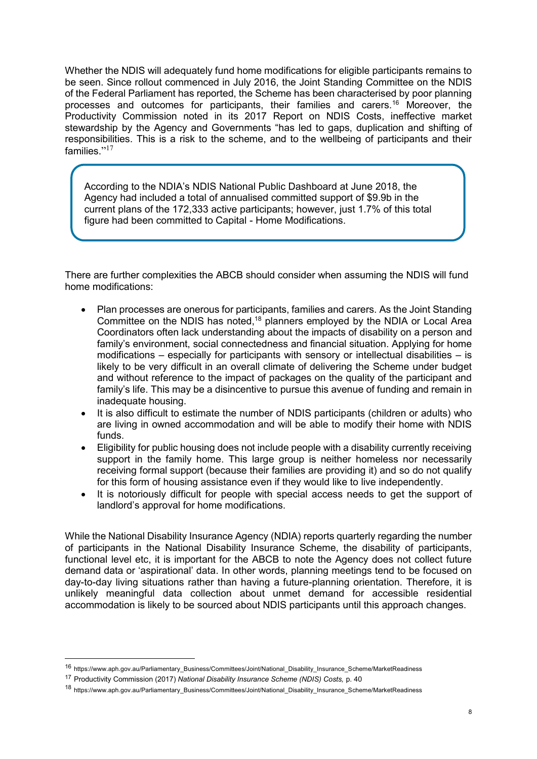Whether the NDIS will adequately fund home modifications for eligible participants remains to be seen. Since rollout commenced in July 2016, the Joint Standing Committee on the NDIS of the Federal Parliament has reported, the Scheme has been characterised by poor planning processes and outcomes for participants, their families and carers.<sup>16</sup> Moreover, the Productivity Commission noted in its 2017 Report on NDIS Costs, ineffective market stewardship by the Agency and Governments "has led to gaps, duplication and shifting of responsibilities. This is a risk to the scheme, and to the wellbeing of participants and their families."<sup>17</sup>

According to the NDIA's NDIS National Public Dashboard at June 2018, the Agency had included a total of annualised committed support of \$9.9b in the current plans of the 172,333 active participants; however, just 1.7% of this total figure had been committed to Capital - Home Modifications.

There are further complexities the ABCB should consider when assuming the NDIS will fund home modifications:

- Plan processes are onerous for participants, families and carers. As the Joint Standing Committee on the NDIS has noted,<sup>18</sup> planners employed by the NDIA or Local Area Coordinators often lack understanding about the impacts of disability on a person and family's environment, social connectedness and financial situation. Applying for home modifications – especially for participants with sensory or intellectual disabilities – is likely to be very difficult in an overall climate of delivering the Scheme under budget and without reference to the impact of packages on the quality of the participant and family's life. This may be a disincentive to pursue this avenue of funding and remain in inadequate housing.
- It is also difficult to estimate the number of NDIS participants (children or adults) who are living in owned accommodation and will be able to modify their home with NDIS funds.
- Eligibility for public housing does not include people with a disability currently receiving support in the family home. This large group is neither homeless nor necessarily receiving formal support (because their families are providing it) and so do not qualify for this form of housing assistance even if they would like to live independently.
- It is notoriously difficult for people with special access needs to get the support of landlord's approval for home modifications.

While the National Disability Insurance Agency (NDIA) reports quarterly regarding the number of participants in the National Disability Insurance Scheme, the disability of participants, functional level etc, it is important for the ABCB to note the Agency does not collect future demand data or 'aspirational' data. In other words, planning meetings tend to be focused on day-to-day living situations rather than having a future-planning orientation. Therefore, it is unlikely meaningful data collection about unmet demand for accessible residential accommodation is likely to be sourced about NDIS participants until this approach changes.

<sup>16</sup> https://www.aph.gov.au/Parliamentary\_Business/Committees/Joint/National\_Disability\_Insurance\_Scheme/MarketReadiness

<sup>17</sup> Productivity Commission (2017) *National Disability Insurance Scheme (NDIS) Costs,* p. 40

<sup>18</sup> https://www.aph.gov.au/Parliamentary\_Business/Committees/Joint/National\_Disability\_Insurance\_Scheme/MarketReadiness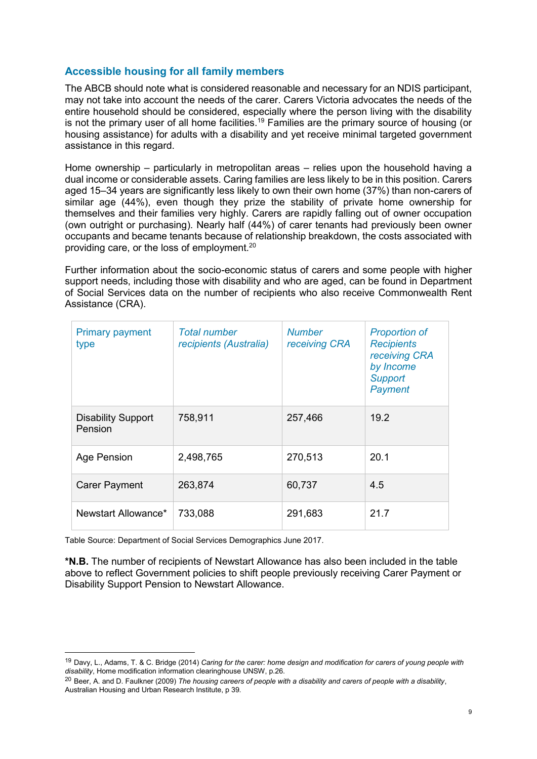## <span id="page-8-0"></span>**Accessible housing for all family members**

The ABCB should note what is considered reasonable and necessary for an NDIS participant, may not take into account the needs of the carer. Carers Victoria advocates the needs of the entire household should be considered, especially where the person living with the disability is not the primary user of all home facilities.<sup>19</sup> Families are the primary source of housing (or housing assistance) for adults with a disability and yet receive minimal targeted government assistance in this regard.

Home ownership – particularly in metropolitan areas – relies upon the household having a dual income or considerable assets. Caring families are less likely to be in this position. Carers aged 15–34 years are significantly less likely to own their own home (37%) than non-carers of similar age (44%), even though they prize the stability of private home ownership for themselves and their families very highly. Carers are rapidly falling out of owner occupation (own outright or purchasing). Nearly half (44%) of carer tenants had previously been owner occupants and became tenants because of relationship breakdown, the costs associated with providing care, or the loss of employment.<sup>20</sup>

Further information about the socio-economic status of carers and some people with higher support needs, including those with disability and who are aged, can be found in Department of Social Services data on the number of recipients who also receive Commonwealth Rent Assistance (CRA).

| <b>Primary payment</b><br>type       | <b>Total number</b><br>recipients (Australia) | <b>Number</b><br>receiving CRA | <b>Proportion of</b><br><b>Recipients</b><br>receiving CRA<br>by Income<br><b>Support</b><br>Payment |
|--------------------------------------|-----------------------------------------------|--------------------------------|------------------------------------------------------------------------------------------------------|
| <b>Disability Support</b><br>Pension | 758,911                                       | 257,466                        | 19.2                                                                                                 |
| Age Pension                          | 2,498,765                                     | 270,513                        | 20.1                                                                                                 |
| <b>Carer Payment</b>                 | 263,874                                       | 60,737                         | 4.5                                                                                                  |
| Newstart Allowance*                  | 733,088                                       | 291,683                        | 21.7                                                                                                 |

Table Source: Department of Social Services Demographics June 2017.

-

<span id="page-8-1"></span>**\*N.B.** The number of recipients of Newstart Allowance has also been included in the table above to reflect Government policies to shift people previously receiving Carer Payment or Disability Support Pension to Newstart Allowance.

<sup>19</sup> Davy, L., Adams, T. & C. Bridge (2014) *Caring for the carer: home design and modification for carers of young people with disability*, Home modification information clearinghouse UNSW, p.26.

<sup>20</sup> Beer, A. and D. Faulkner (2009) *The housing careers of people with a disability and carers of people with a disability*, Australian Housing and Urban Research Institute, p 39.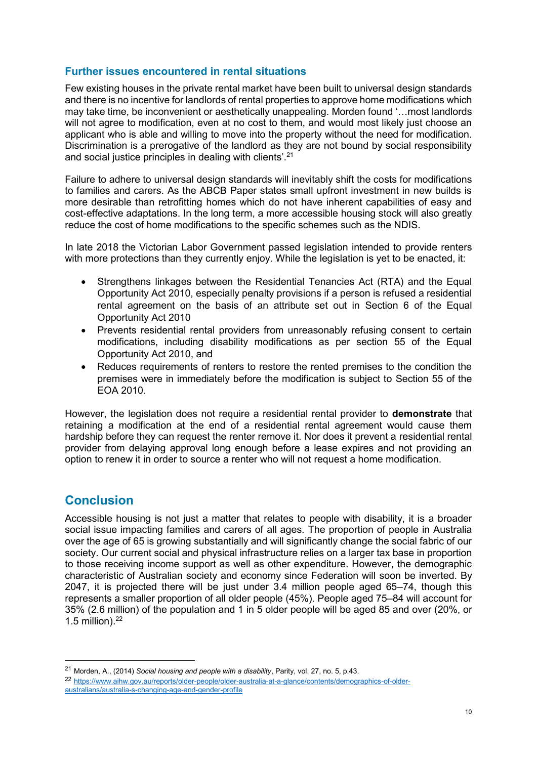#### **Further issues encountered in rental situations**

Few existing houses in the private rental market have been built to universal design standards and there is no incentive for landlords of rental properties to approve home modifications which may take time, be inconvenient or aesthetically unappealing. Morden found '…most landlords will not agree to modification, even at no cost to them, and would most likely just choose an applicant who is able and willing to move into the property without the need for modification. Discrimination is a prerogative of the landlord as they are not bound by social responsibility and social justice principles in dealing with clients'.<sup>21</sup>

Failure to adhere to universal design standards will inevitably shift the costs for modifications to families and carers. As the ABCB Paper states small upfront investment in new builds is more desirable than retrofitting homes which do not have inherent capabilities of easy and cost-effective adaptations. In the long term, a more accessible housing stock will also greatly reduce the cost of home modifications to the specific schemes such as the NDIS.

In late 2018 the Victorian Labor Government passed legislation intended to provide renters with more protections than they currently enjoy. While the legislation is yet to be enacted, it:

- Strengthens linkages between the Residential Tenancies Act (RTA) and the Equal Opportunity Act 2010, especially penalty provisions if a person is refused a residential rental agreement on the basis of an attribute set out in Section 6 of the Equal Opportunity Act 2010
- Prevents residential rental providers from unreasonably refusing consent to certain modifications, including disability modifications as per section 55 of the Equal Opportunity Act 2010, and
- Reduces requirements of renters to restore the rented premises to the condition the premises were in immediately before the modification is subject to Section 55 of the EOA 2010.

However, the legislation does not require a residential rental provider to **demonstrate** that retaining a modification at the end of a residential rental agreement would cause them hardship before they can request the renter remove it. Nor does it prevent a residential rental provider from delaying approval long enough before a lease expires and not providing an option to renew it in order to source a renter who will not request a home modification.

## <span id="page-9-0"></span>**Conclusion**

-

Accessible housing is not just a matter that relates to people with disability, it is a broader social issue impacting families and carers of all ages. The proportion of people in Australia over the age of 65 is growing substantially and will significantly change the social fabric of our society. Our current social and physical infrastructure relies on a larger tax base in proportion to those receiving income support as well as other expenditure. However, the demographic characteristic of Australian society and economy since Federation will soon be inverted. By 2047, it is projected there will be just under 3.4 million people aged 65–74, though this represents a smaller proportion of all older people (45%). People aged 75–84 will account for 35% (2.6 million) of the population and 1 in 5 older people will be aged 85 and over (20%, or 1.5 million). 22

<sup>21</sup> Morden, A., (2014) *Social housing and people with a disability*, Parity, vol. 27, no. 5, p.43.

<sup>22</sup> [https://www.aihw.gov.au/reports/older-people/older-australia-at-a-glance/contents/demographics-of-older](https://www.aihw.gov.au/reports/older-people/older-australia-at-a-glance/contents/demographics-of-older-australians/australia-s-changing-age-and-gender-profile)[australians/australia-s-changing-age-and-gender-profile](https://www.aihw.gov.au/reports/older-people/older-australia-at-a-glance/contents/demographics-of-older-australians/australia-s-changing-age-and-gender-profile)